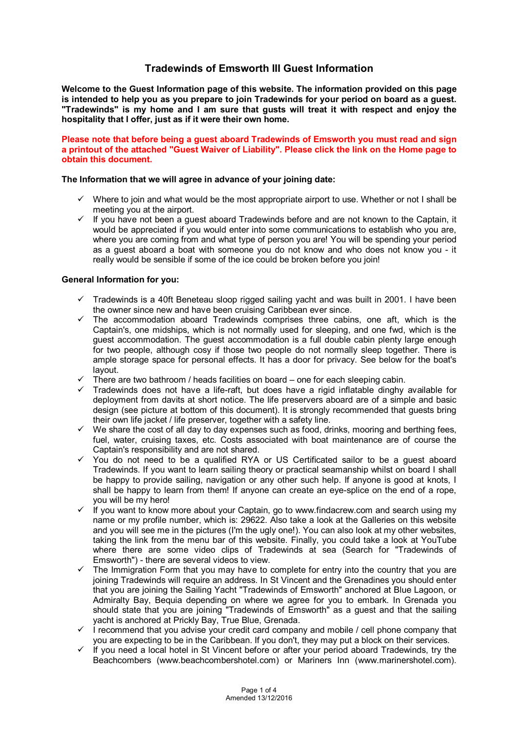# **Tradewinds of Emsworth III Guest Information**

**Welcome to the Guest Information page of this website. The information provided on this page is intended to help you as you prepare to join Tradewinds for your period on board as a guest. "Tradewinds" is my home and I am sure that gusts will treat it with respect and enjoy the hospitality that I offer, just as if it were their own home.** 

**Please note that before being a guest aboard Tradewinds of Emsworth you must read and sign a printout of the attached "Guest Waiver of Liability". Please click the link on the Home page to obtain this document.** 

#### **The Information that we will agree in advance of your joining date:**

- $\checkmark$  Where to join and what would be the most appropriate airport to use. Whether or not I shall be meeting you at the airport.
- $\checkmark$  If you have not been a guest aboard Tradewinds before and are not known to the Captain, it would be appreciated if you would enter into some communications to establish who you are, where you are coming from and what type of person you are! You will be spending your period as a guest aboard a boat with someone you do not know and who does not know you - it really would be sensible if some of the ice could be broken before you join!

#### **General Information for you:**

- $\checkmark$  Tradewinds is a 40ft Beneteau sloop rigged sailing yacht and was built in 2001. I have been the owner since new and have been cruising Caribbean ever since.
- $\checkmark$  The accommodation aboard Tradewinds comprises three cabins, one aft, which is the Captain's, one midships, which is not normally used for sleeping, and one fwd, which is the guest accommodation. The guest accommodation is a full double cabin plenty large enough for two people, although cosy if those two people do not normally sleep together. There is ample storage space for personal effects. It has a door for privacy. See below for the boat's layout.
- $\checkmark$  There are two bathroom / heads facilities on board one for each sleeping cabin.
- Tradewinds does not have a life-raft, but does have a rigid inflatable dinghy available for deployment from davits at short notice. The life preservers aboard are of a simple and basic design (see picture at bottom of this document). It is strongly recommended that guests bring their own life jacket / life preserver, together with a safety line.
- $\checkmark$  We share the cost of all day to day expenses such as food, drinks, mooring and berthing fees, fuel, water, cruising taxes, etc. Costs associated with boat maintenance are of course the Captain's responsibility and are not shared.
- $\checkmark$  You do not need to be a qualified RYA or US Certificated sailor to be a guest aboard Tradewinds. If you want to learn sailing theory or practical seamanship whilst on board I shall be happy to provide sailing, navigation or any other such help. If anyone is good at knots, I shall be happy to learn from them! If anyone can create an eye-splice on the end of a rope, you will be my hero!
- $\checkmark$  if you want to know more about your Captain, go to www.findacrew.com and search using my name or my profile number, which is: 29622. Also take a look at the Galleries on this website and you will see me in the pictures (I'm the ugly one!). You can also look at my other websites, taking the link from the menu bar of this website. Finally, you could take a look at YouTube where there are some video clips of Tradewinds at sea (Search for "Tradewinds of Emsworth") - there are several videos to view.
- $\checkmark$  The Immigration Form that you may have to complete for entry into the country that you are joining Tradewinds will require an address. In St Vincent and the Grenadines you should enter that you are joining the Sailing Yacht "Tradewinds of Emsworth" anchored at Blue Lagoon, or Admiralty Bay, Bequia depending on where we agree for you to embark. In Grenada you should state that you are joining "Tradewinds of Emsworth" as a guest and that the sailing yacht is anchored at Prickly Bay, True Blue, Grenada.
- $I$  i recommend that you advise your credit card company and mobile / cell phone company that you are expecting to be in the Caribbean. If you don't, they may put a block on their services.
- If you need a local hotel in St Vincent before or after your period aboard Tradewinds, try the Beachcombers (www.beachcombershotel.com) or Mariners Inn (www.marinershotel.com).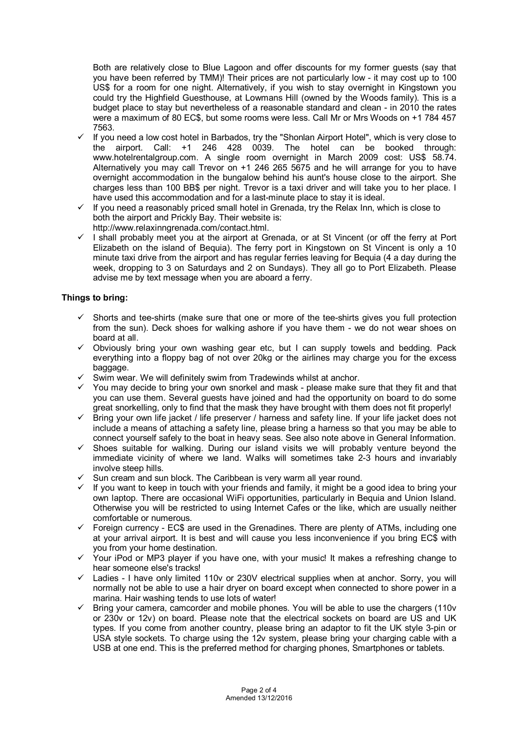Both are relatively close to Blue Lagoon and offer discounts for my former guests (say that you have been referred by TMM)! Their prices are not particularly low - it may cost up to 100 US\$ for a room for one night. Alternatively, if you wish to stay overnight in Kingstown you could try the Highfield Guesthouse, at Lowmans Hill (owned by the Woods family). This is a budget place to stay but nevertheless of a reasonable standard and clean - in 2010 the rates were a maximum of 80 EC\$, but some rooms were less. Call Mr or Mrs Woods on +1 784 457 7563.

- $\checkmark$  If you need a low cost hotel in Barbados, try the "Shonlan Airport Hotel", which is very close to the airport. Call: +1 246 428 0039. The hotel can be booked through: www.hotelrentalgroup.com. A single room overnight in March 2009 cost: US\$ 58.74. Alternatively you may call Trevor on +1 246 265 5675 and he will arrange for you to have overnight accommodation in the bungalow behind his aunt's house close to the airport. She charges less than 100 BB\$ per night. Trevor is a taxi driver and will take you to her place. I have used this accommodation and for a last-minute place to stay it is ideal.
- $\checkmark$  If you need a reasonably priced small hotel in Grenada, try the Relax Inn, which is close to both the airport and Prickly Bay. Their website is:
- http://www.relaxinngrenada.com/contact.html.
- $\checkmark$  I shall probably meet you at the airport at Grenada, or at St Vincent (or off the ferry at Port Elizabeth on the island of Bequia). The ferry port in Kingstown on St Vincent is only a 10 minute taxi drive from the airport and has regular ferries leaving for Bequia (4 a day during the week, dropping to 3 on Saturdays and 2 on Sundays). They all go to Port Elizabeth. Please advise me by text message when you are aboard a ferry.

## **Things to bring:**

- $\checkmark$  Shorts and tee-shirts (make sure that one or more of the tee-shirts gives you full protection from the sun). Deck shoes for walking ashore if you have them - we do not wear shoes on board at all.
- $\checkmark$  Obviously bring your own washing gear etc, but I can supply towels and bedding. Pack everything into a floppy bag of not over 20kg or the airlines may charge you for the excess baggage.
- $\checkmark$  Swim wear. We will definitely swim from Tradewinds whilst at anchor.
- $\checkmark$  You may decide to bring your own snorkel and mask please make sure that they fit and that you can use them. Several guests have joined and had the opportunity on board to do some great snorkelling, only to find that the mask they have brought with them does not fit properly!
- $\checkmark$  Bring your own life jacket / life preserver / harness and safety line. If your life jacket does not include a means of attaching a safety line, please bring a harness so that you may be able to connect yourself safely to the boat in heavy seas. See also note above in General Information.
- $\checkmark$  Shoes suitable for walking. During our island visits we will probably venture beyond the immediate vicinity of where we land. Walks will sometimes take 2-3 hours and invariably involve steep hills.
- $\checkmark$  Sun cream and sun block. The Caribbean is very warm all year round.
- $\checkmark$  If you want to keep in touch with your friends and family, it might be a good idea to bring your own laptop. There are occasional WiFi opportunities, particularly in Bequia and Union Island. Otherwise you will be restricted to using Internet Cafes or the like, which are usually neither comfortable or numerous.
- $\checkmark$  Foreign currency EC\$ are used in the Grenadines. There are plenty of ATMs, including one at your arrival airport. It is best and will cause you less inconvenience if you bring EC\$ with you from your home destination.
- $\checkmark$  Your iPod or MP3 player if you have one, with your music! It makes a refreshing change to hear someone else's tracks!
- $\checkmark$  Ladies I have only limited 110v or 230V electrical supplies when at anchor. Sorry, you will normally not be able to use a hair dryer on board except when connected to shore power in a marina. Hair washing tends to use lots of water!
- $\checkmark$  Bring your camera, camcorder and mobile phones. You will be able to use the chargers (110v or 230v or 12v) on board. Please note that the electrical sockets on board are US and UK types. If you come from another country, please bring an adaptor to fit the UK style 3-pin or USA style sockets. To charge using the 12v system, please bring your charging cable with a USB at one end. This is the preferred method for charging phones, Smartphones or tablets.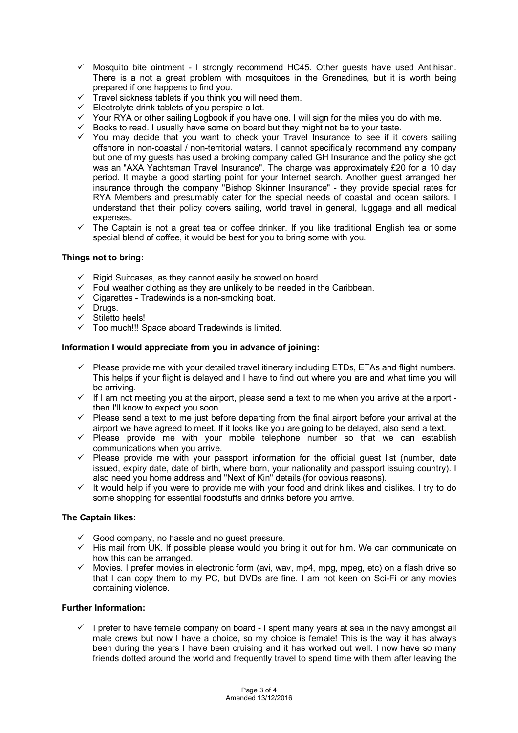- $\checkmark$  Mosquito bite ointment I strongly recommend HC45. Other guests have used Antihisan. There is a not a great problem with mosquitoes in the Grenadines, but it is worth being prepared if one happens to find you.
- $\checkmark$  Travel sickness tablets if you think you will need them.
- $\checkmark$  Electrolyte drink tablets of you perspire a lot.
- $\checkmark$  Your RYA or other sailing Logbook if you have one. I will sign for the miles you do with me.
- $\checkmark$  Books to read. I usually have some on board but they might not be to your taste.
- $\checkmark$  You may decide that you want to check your Travel Insurance to see if it covers sailing offshore in non-coastal / non-territorial waters. I cannot specifically recommend any company but one of my guests has used a broking company called GH Insurance and the policy she got was an "AXA Yachtsman Travel Insurance". The charge was approximately £20 for a 10 day period. It maybe a good starting point for your Internet search. Another guest arranged her insurance through the company "Bishop Skinner Insurance" - they provide special rates for RYA Members and presumably cater for the special needs of coastal and ocean sailors. I understand that their policy covers sailing, world travel in general, luggage and all medical expenses.
- $\checkmark$  The Captain is not a great tea or coffee drinker. If you like traditional English tea or some special blend of coffee, it would be best for you to bring some with you.

## **Things not to bring:**

- $\checkmark$  Rigid Suitcases, as they cannot easily be stowed on board.
- $\checkmark$  Foul weather clothing as they are unlikely to be needed in the Caribbean.
- $\checkmark$  Cigarettes Tradewinds is a non-smoking boat.
- $\checkmark$  Drugs.
- $\checkmark$  Stiletto heels!
- $\checkmark$  Too much!!! Space aboard Tradewinds is limited.

#### **Information I would appreciate from you in advance of joining:**

- $\checkmark$  Please provide me with your detailed travel itinerary including ETDs, ETAs and flight numbers. This helps if your flight is delayed and I have to find out where you are and what time you will be arriving.
- $\checkmark$  If I am not meeting you at the airport, please send a text to me when you arrive at the airport then I'll know to expect you soon.
- $\checkmark$  Please send a text to me just before departing from the final airport before your arrival at the airport we have agreed to meet. If it looks like you are going to be delayed, also send a text.
- $\checkmark$  Please provide me with your mobile telephone number so that we can establish communications when you arrive.
- $\checkmark$  Please provide me with your passport information for the official guest list (number, date issued, expiry date, date of birth, where born, your nationality and passport issuing country). I also need you home address and "Next of Kin" details (for obvious reasons).
- $\checkmark$  It would help if you were to provide me with your food and drink likes and dislikes. I try to do some shopping for essential foodstuffs and drinks before you arrive.

## **The Captain likes:**

- $\checkmark$  Good company, no hassle and no guest pressure.
- $\checkmark$  His mail from UK. If possible please would you bring it out for him. We can communicate on how this can be arranged.
- $\checkmark$  Movies. I prefer movies in electronic form (avi, wav, mp4, mpg, mpeg, etc) on a flash drive so that I can copy them to my PC, but DVDs are fine. I am not keen on Sci-Fi or any movies containing violence.

## **Further Information:**

 $\checkmark$  I prefer to have female company on board - I spent many years at sea in the navy amongst all male crews but now I have a choice, so my choice is female! This is the way it has always been during the years I have been cruising and it has worked out well. I now have so many friends dotted around the world and frequently travel to spend time with them after leaving the